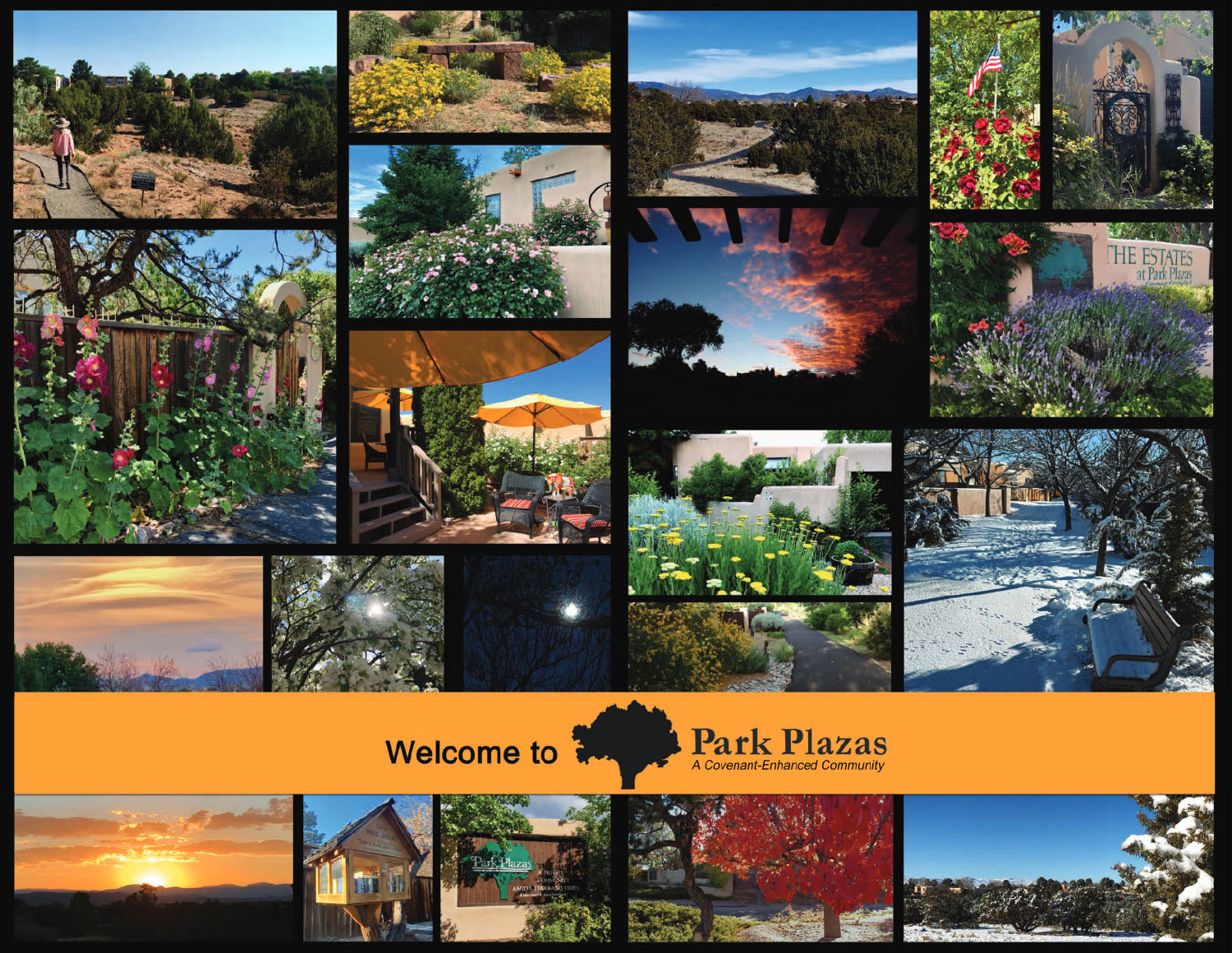



































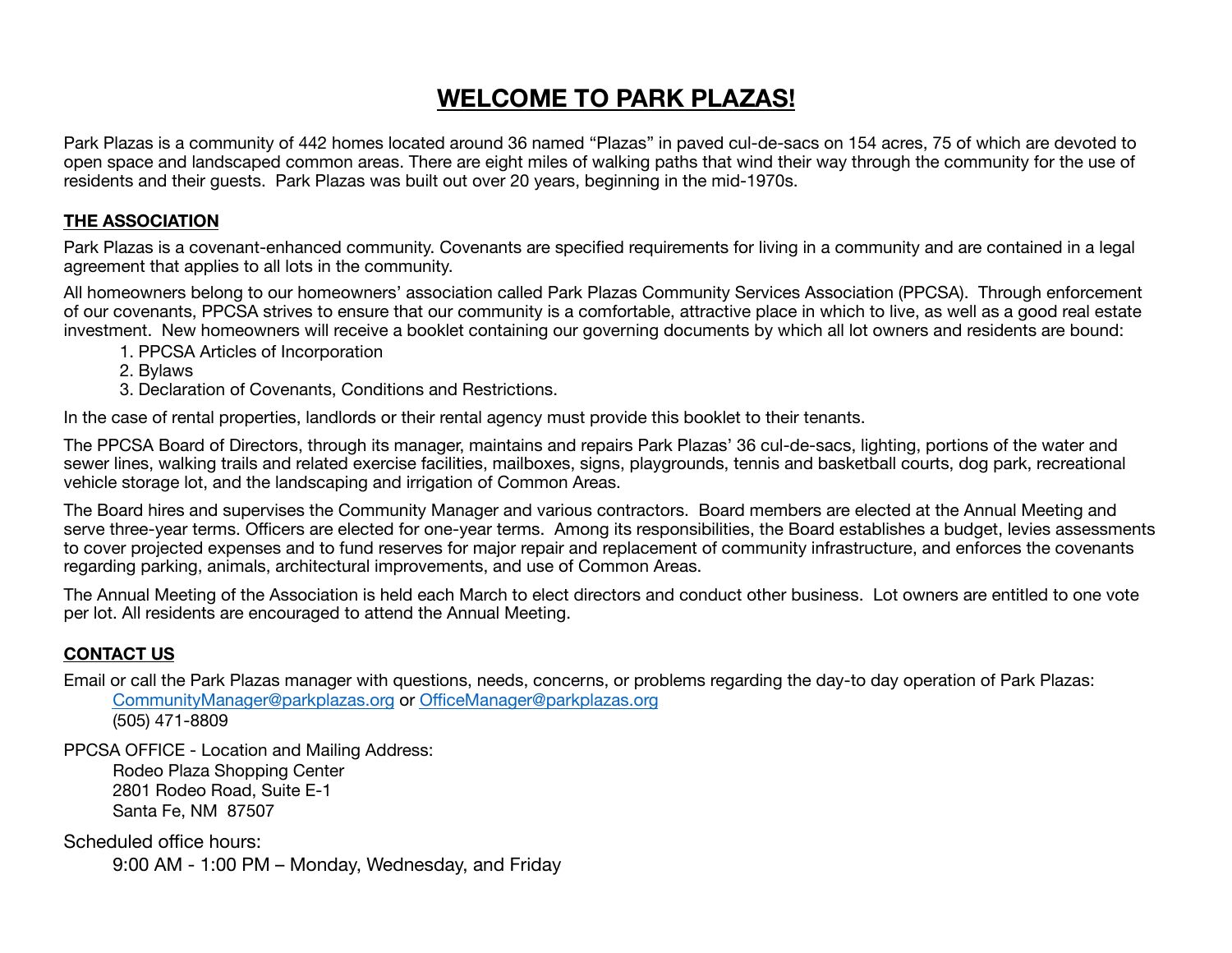# **WELCOME TO PARK PLAZAS!**

Park Plazas is a community of 442 homes located around 36 named "Plazas" in paved cul-de-sacs on 154 acres, 75 of which are devoted to open space and landscaped common areas. There are eight miles of walking paths that wind their way through the community for the use of residents and their guests. Park Plazas was built out over 20 years, beginning in the mid-1970s.

#### **THE ASSOCIATION**

Park Plazas is a covenant-enhanced community. Covenants are specified requirements for living in a community and are contained in a legal agreement that applies to all lots in the community.

All homeowners belong to our homeowners' association called Park Plazas Community Services Association (PPCSA). Through enforcement of our covenants, PPCSA strives to ensure that our community is a comfortable, attractive place in which to live, as well as a good real estate investment. New homeowners will receive a booklet containing our governing documents by which all lot owners and residents are bound:

- 1. PPCSA Articles of Incorporation
- 2. Bylaws
- 3. Declaration of Covenants, Conditions and Restrictions.

In the case of rental properties, landlords or their rental agency must provide this booklet to their tenants.

The PPCSA Board of Directors, through its manager, maintains and repairs Park Plazas' 36 cul-de-sacs, lighting, portions of the water and sewer lines, walking trails and related exercise facilities, mailboxes, signs, playgrounds, tennis and basketball courts, dog park, recreational vehicle storage lot, and the landscaping and irrigation of Common Areas.

The Board hires and supervises the Community Manager and various contractors. Board members are elected at the Annual Meeting and serve three-year terms. Officers are elected for one-year terms. Among its responsibilities, the Board establishes a budget, levies assessments to cover projected expenses and to fund reserves for major repair and replacement of community infrastructure, and enforces the covenants regarding parking, animals, architectural improvements, and use of Common Areas.

The Annual Meeting of the Association is held each March to elect directors and conduct other business. Lot owners are entitled to one vote per lot. All residents are encouraged to attend the Annual Meeting.

#### **CONTACT US**

Email or call the Park Plazas manager with questions, needs, concerns, or problems regarding the day-to day operation of Park Plazas: CommunityManager@parkplazas.org or OfficeManager@parkplazas.org

(505) 471-8809

PPCSA OFFICE - Location and Mailing Address: Rodeo Plaza Shopping Center 2801 Rodeo Road, Suite E-1 Santa Fe, NM 87507

Scheduled office hours: 9:00 AM - 1:00 PM – Monday, Wednesday, and Friday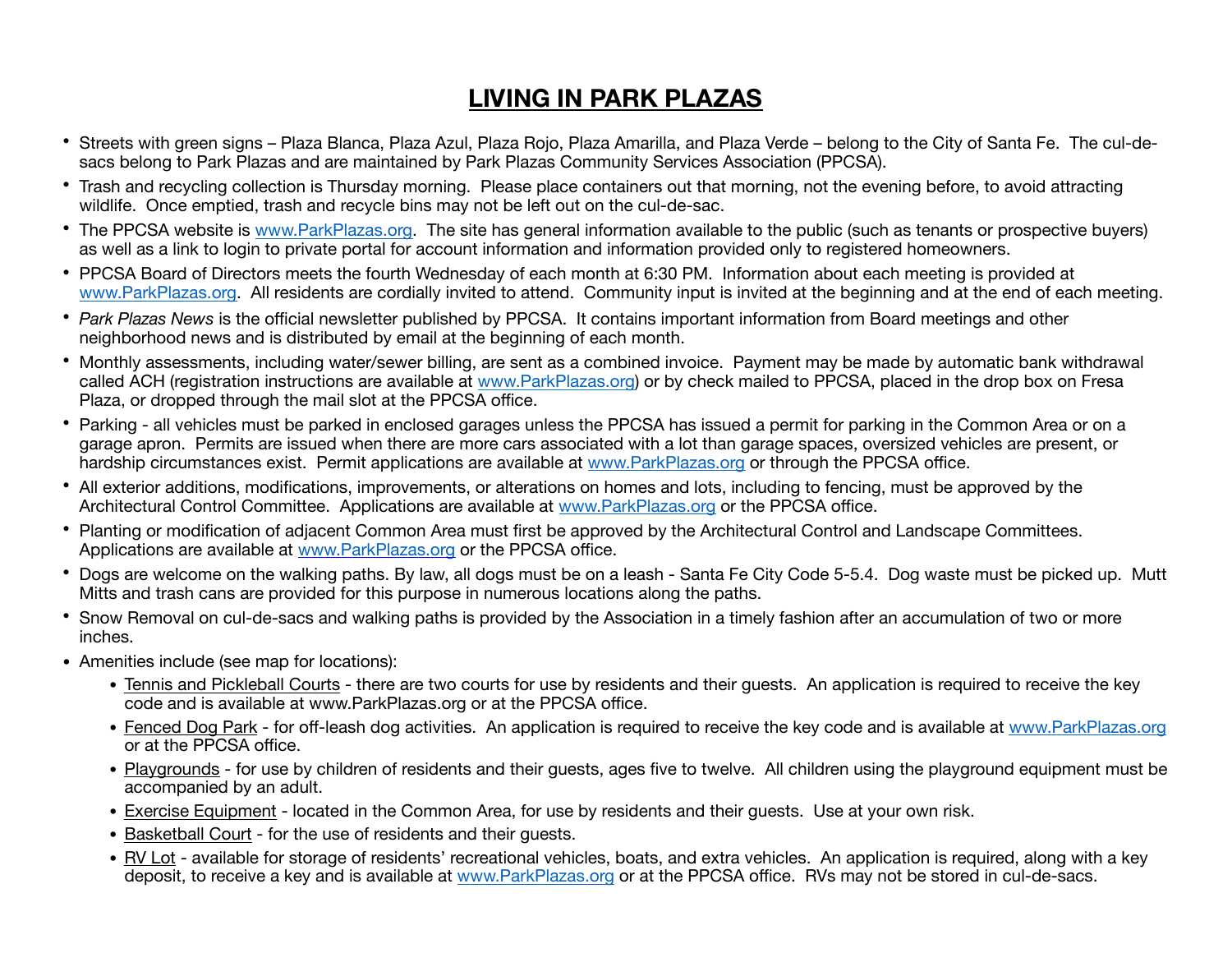# **LIVING IN PARK PLAZAS**

- Streets with green signs Plaza Blanca, Plaza Azul, Plaza Rojo, Plaza Amarilla, and Plaza Verde belong to the City of Santa Fe. The cul-desacs belong to Park Plazas and are maintained by Park Plazas Community Services Association (PPCSA).
- Trash and recycling collection is Thursday morning. Please place containers out that morning, not the evening before, to avoid attracting wildlife. Once emptied, trash and recycle bins may not be left out on the cul-de-sac.
- The PPCSA website is www.ParkPlazas.org. The site has general information available to the public (such as tenants or prospective buyers) as well as a link to login to private portal for account information and information provided only to registered homeowners.
- PPCSA Board of Directors meets the fourth Wednesday of each month at 6:30 PM. Information about each meeting is provided at www.ParkPlazas.org. All residents are cordially invited to attend. Community input is invited at the beginning and at the end of each meeting.
- *Park Plazas News* is the official newsletter published by PPCSA. It contains important information from Board meetings and other neighborhood news and is distributed by email at the beginning of each month.
- Monthly assessments, including water/sewer billing, are sent as a combined invoice. Payment may be made by automatic bank withdrawal called ACH (registration instructions are available at www.ParkPlazas.org) or by check mailed to PPCSA, placed in the drop box on Fresa Plaza, or dropped through the mail slot at the PPCSA office.
- Parking all vehicles must be parked in enclosed garages unless the PPCSA has issued a permit for parking in the Common Area or on a garage apron. Permits are issued when there are more cars associated with a lot than garage spaces, oversized vehicles are present, or hardship circumstances exist. Permit applications are available at www.ParkPlazas.org or through the PPCSA office.
- All exterior additions, modifications, improvements, or alterations on homes and lots, including to fencing, must be approved by the Architectural Control Committee. Applications are available at www.ParkPlazas.org or the PPCSA office.
- Planting or modification of adjacent Common Area must first be approved by the Architectural Control and Landscape Committees. Applications are available at www.ParkPlazas.org or the PPCSA office.
- Dogs are welcome on the walking paths. By law, all dogs must be on a leash Santa Fe City Code 5-5.4. Dog waste must be picked up. Mutt Mitts and trash cans are provided for this purpose in numerous locations along the paths.
- Snow Removal on cul-de-sacs and walking paths is provided by the Association in a timely fashion after an accumulation of two or more inches.
- Amenities include (see map for locations):
	- Tennis and Pickleball Courts there are two courts for use by residents and their guests. An application is required to receive the key code and is available at www.ParkPlazas.org or at the PPCSA office.
	- Fenced Dog Park for off-leash dog activities. An application is required to receive the key code and is available at www.ParkPlazas.org or at the PPCSA office.
	- Playgrounds for use by children of residents and their guests, ages five to twelve. All children using the playground equipment must be accompanied by an adult.
	- Exercise Equipment located in the Common Area, for use by residents and their guests. Use at your own risk.
	- Basketball Court for the use of residents and their guests.
	- RV Lot available for storage of residents' recreational vehicles, boats, and extra vehicles. An application is required, along with a key deposit, to receive a key and is available at www.ParkPlazas.org or at the PPCSA office. RVs may not be stored in cul-de-sacs.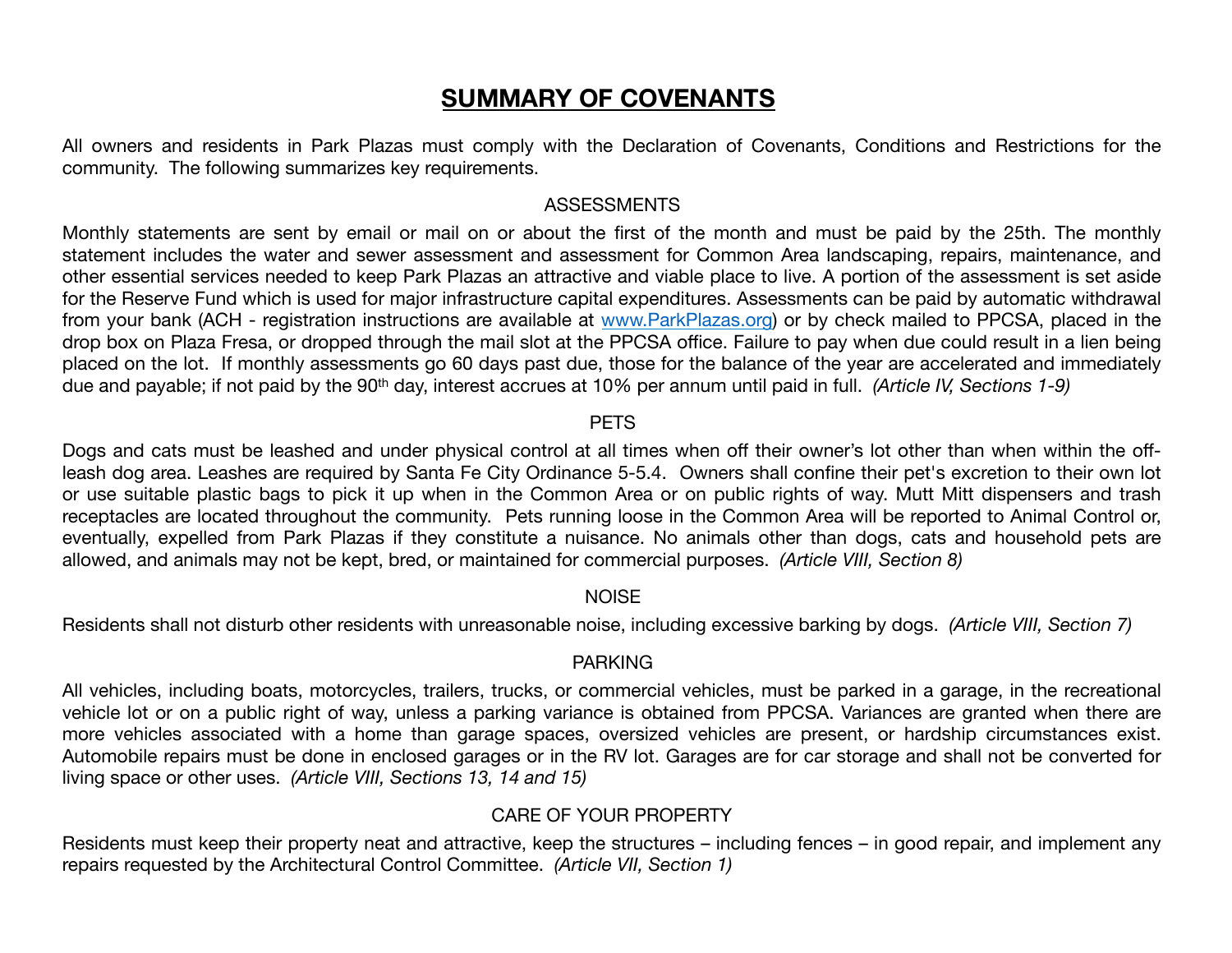## **SUMMARY OF COVENANTS**

All owners and residents in Park Plazas must comply with the Declaration of Covenants, Conditions and Restrictions for the community. The following summarizes key requirements.

#### ASSESSMENTS

Monthly statements are sent by email or mail on or about the first of the month and must be paid by the 25th. The monthly statement includes the water and sewer assessment and assessment for Common Area landscaping, repairs, maintenance, and other essential services needed to keep Park Plazas an attractive and viable place to live. A portion of the assessment is set aside for the Reserve Fund which is used for major infrastructure capital expenditures. Assessments can be paid by automatic withdrawal from your bank (ACH - registration instructions are available at www.ParkPlazas.org) or by check mailed to PPCSA, placed in the drop box on Plaza Fresa, or dropped through the mail slot at the PPCSA office. Failure to pay when due could result in a lien being placed on the lot. If monthly assessments go 60 days past due, those for the balance of the year are accelerated and immediately due and payable; if not paid by the 90<sup>th</sup> day, interest accrues at 10% per annum until paid in full. *(Article IV, Sections 1-9)* 

#### **PFTS**

Dogs and cats must be leashed and under physical control at all times when off their owner's lot other than when within the offleash dog area. Leashes are required by Santa Fe City Ordinance 5-5.4. Owners shall confine their pet's excretion to their own lot or use suitable plastic bags to pick it up when in the Common Area or on public rights of way. Mutt Mitt dispensers and trash receptacles are located throughout the community. Pets running loose in the Common Area will be reported to Animal Control or, eventually, expelled from Park Plazas if they constitute a nuisance. No animals other than dogs, cats and household pets are allowed, and animals may not be kept, bred, or maintained for commercial purposes. *(Article VIII, Section 8)* 

#### **NOISE**

Residents shall not disturb other residents with unreasonable noise, including excessive barking by dogs. *(Article VIII, Section 7)* 

#### PARKING

All vehicles, including boats, motorcycles, trailers, trucks, or commercial vehicles, must be parked in a garage, in the recreational vehicle lot or on a public right of way, unless a parking variance is obtained from PPCSA. Variances are granted when there are more vehicles associated with a home than garage spaces, oversized vehicles are present, or hardship circumstances exist. Automobile repairs must be done in enclosed garages or in the RV lot. Garages are for car storage and shall not be converted for living space or other uses. *(Article VIII, Sections 13, 14 and 15)*

#### CARE OF YOUR PROPERTY

Residents must keep their property neat and attractive, keep the structures – including fences – in good repair, and implement any repairs requested by the Architectural Control Committee. *(Article VII, Section 1)*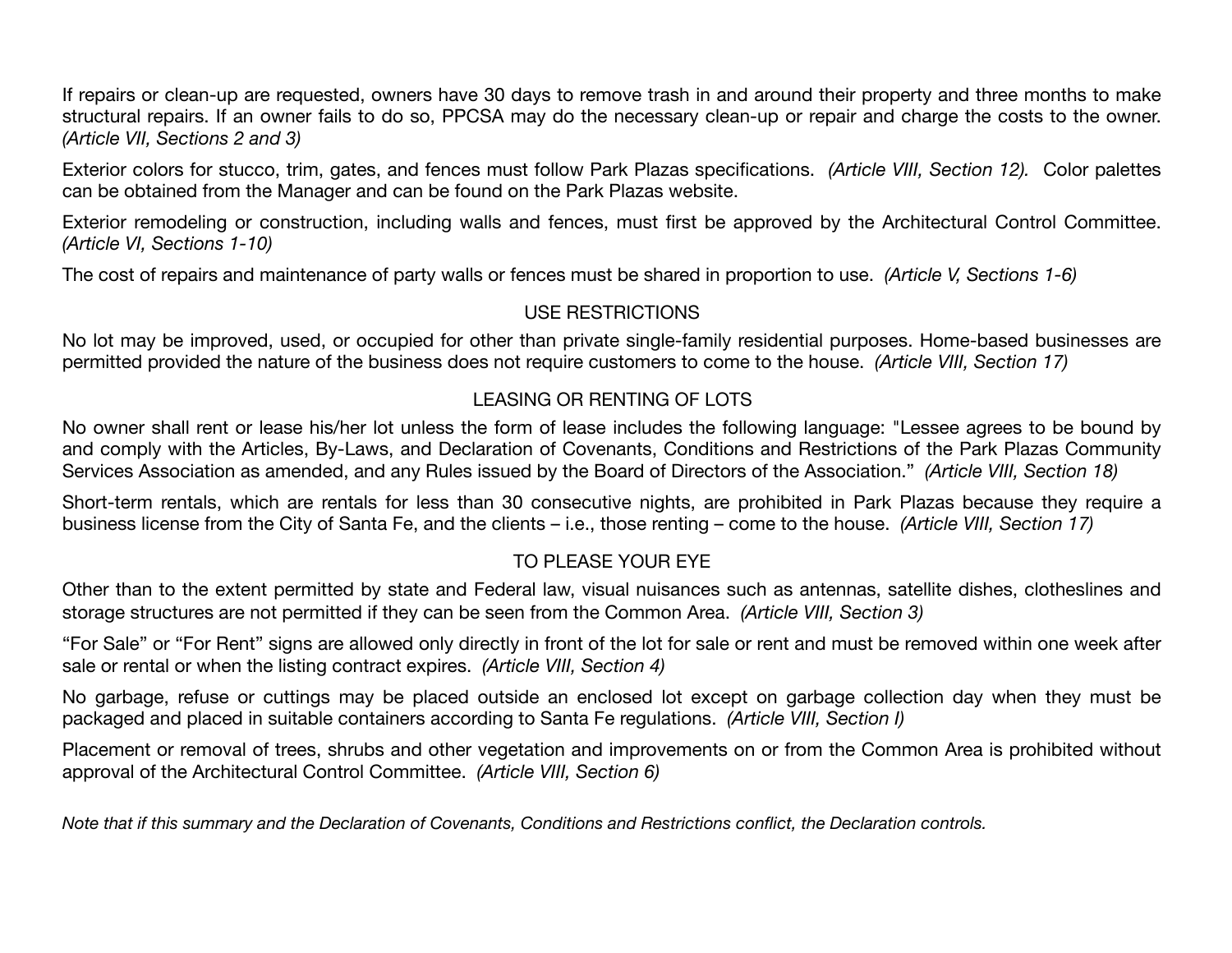If repairs or clean-up are requested, owners have 30 days to remove trash in and around their property and three months to make structural repairs. If an owner fails to do so, PPCSA may do the necessary clean-up or repair and charge the costs to the owner. *(Article VII, Sections 2 and 3)* 

Exterior colors for stucco, trim, gates, and fences must follow Park Plazas specifications. *(Article VIII, Section 12).* Color palettes can be obtained from the Manager and can be found on the Park Plazas website.

Exterior remodeling or construction, including walls and fences, must first be approved by the Architectural Control Committee. *(Article VI, Sections 1-10)*

The cost of repairs and maintenance of party walls or fences must be shared in proportion to use. *(Article V, Sections 1-6)* 

#### USE RESTRICTIONS

No lot may be improved, used, or occupied for other than private single-family residential purposes. Home-based businesses are permitted provided the nature of the business does not require customers to come to the house. *(Article VIII, Section 17)*

#### LEASING OR RENTING OF LOTS

No owner shall rent or lease his/her lot unless the form of lease includes the following language: "Lessee agrees to be bound by and comply with the Articles, By-Laws, and Declaration of Covenants, Conditions and Restrictions of the Park Plazas Community Services Association as amended, and any Rules issued by the Board of Directors of the Association." *(Article VIII, Section 18)*

Short-term rentals, which are rentals for less than 30 consecutive nights, are prohibited in Park Plazas because they require a business license from the City of Santa Fe, and the clients – i.e., those renting – come to the house. *(Article VIII, Section 17)*

### TO PLEASE YOUR EYE

Other than to the extent permitted by state and Federal law, visual nuisances such as antennas, satellite dishes, clotheslines and storage structures are not permitted if they can be seen from the Common Area. *(Article VIII, Section 3)*

"For Sale" or "For Rent" signs are allowed only directly in front of the lot for sale or rent and must be removed within one week after sale or rental or when the listing contract expires. *(Article VIII, Section 4)*

No garbage, refuse or cuttings may be placed outside an enclosed lot except on garbage collection day when they must be packaged and placed in suitable containers according to Santa Fe regulations. *(Article VIII, Section I)*

Placement or removal of trees, shrubs and other vegetation and improvements on or from the Common Area is prohibited without approval of the Architectural Control Committee. *(Article VIII, Section 6)* 

*Note that if this summary and the Declaration of Covenants, Conditions and Restrictions conflict, the Declaration controls.*